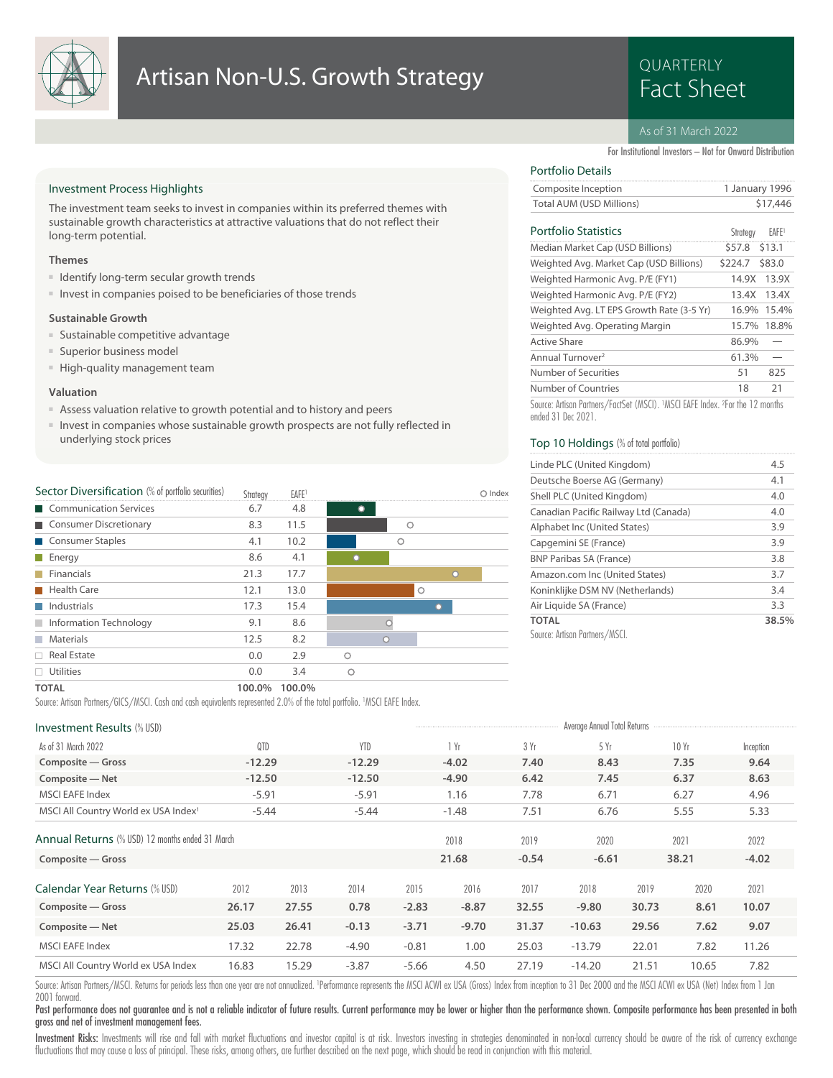

## Artisan Non-U.S. Growth Strategy<br>Fact Sheet

# QUARTERLY

#### As of 31 March 2022

For Institutional Investors – Not for Onward Distribution

#### Investment Process Highlights

The investment team seeks to invest in companies within its preferred themes with sustainable growth characteristics at attractive valuations that do not reflect their long-term potential.

#### **Themes**

- Identify long-term secular growth trends
- Invest in companies poised to be beneficiaries of those trends

#### **Sustainable Growth**

- Sustainable competitive advantage
- Superior business model
- High-quality management team

#### **Valuation**

- Assess valuation relative to growth potential and to history and peers
- Invest in companies whose sustainable growth prospects are not fully reflected in underlying stock prices

| Sector Diversification (% of portfolio securities) | Strateav | <b>EAFE1</b> |   |         |   | Index |
|----------------------------------------------------|----------|--------------|---|---------|---|-------|
| Communication Services                             | 6.7      | 4.8          |   |         |   |       |
| Consumer Discretionary                             | 8.3      | 11.5         |   | $\circ$ |   |       |
| Consumer Staples                                   | 4.1      | 10.2         |   | Ω       |   |       |
| $\blacksquare$ Energy                              | 8.6      | 4.1          |   |         |   |       |
| $\blacksquare$ Financials                          | 21.3     | 17.7         |   |         | Ō |       |
| Health Care                                        | 12.1     | 13.0         |   | $\circ$ |   |       |
| Industrials                                        | 17.3     | 15.4         |   |         |   |       |
| Information Technology                             | 9.1      | 8.6          |   |         |   |       |
| <b>Materials</b>                                   | 12.5     | 8.2          |   |         |   |       |
| $\Box$ Real Estate                                 | 0.0      | 2.9          |   |         |   |       |
| $\Box$ Utilities                                   | 0.0      | 3.4          | ∩ |         |   |       |

### Portfolio Details

| Composite Inception      | 1 January 1996 |
|--------------------------|----------------|
| Total AUM (USD Millions) | \$17,446       |
|                          |                |

#### **Portfolio Statistics**

| <b>Portfolio Statistics</b>                                                 |          |                   |
|-----------------------------------------------------------------------------|----------|-------------------|
|                                                                             | Strateav | EAFE <sup>1</sup> |
| Median Market Cap (USD Billions)                                            | \$57.8   | \$13.1            |
| Weighted Avg. Market Cap (USD Billions)                                     | \$224.7  | \$83.0            |
| Weighted Harmonic Avg. P/E (FY1)                                            | 14.9X    | 13.9X             |
| Weighted Harmonic Avg. P/E (FY2)                                            | 13.4X    | 13.4X             |
| Weighted Avg. LT EPS Growth Rate (3-5 Yr)                                   |          | 16.9% 15.4%       |
| Weighted Avg. Operating Margin                                              | 15.7%    | 18.8%             |
| <b>Active Share</b>                                                         | 86.9%    |                   |
| Annual Turnover <sup>2</sup>                                                | 61.3%    |                   |
| Number of Securities                                                        | 51       | 825               |
| Number of Countries                                                         | 18       | 21                |
| Course: Artisan Dartners / CastCot (MCCI) MCCLEAEE Index 25er the 12 months |          |                   |

CTSET (MSCI). 'MSCI EAFE For the 12 months ended 31 Dec 2021.

#### Top 10 Holdings (% of total portfolio)

| Linde PLC (United Kingdom)            | 4.5   |
|---------------------------------------|-------|
| Deutsche Boerse AG (Germany)          | 4.1   |
| Shell PLC (United Kingdom)            | 4.0   |
| Canadian Pacific Railway Ltd (Canada) | 4.0   |
| Alphabet Inc (United States)          | 3.9   |
| Capgemini SE (France)                 | 3.9   |
| <b>BNP Paribas SA (France)</b>        | 3.8   |
| Amazon.com Inc (United States)        | 3.7   |
| Koninklijke DSM NV (Netherlands)      | 3.4   |
| Air Liquide SA (France)               | 3.3   |
| <b>TOTAL</b>                          | 38.5% |
| Source: Artisan Partners/MSCL         |       |

**TOTAL 100.0% 100.0%**

Source: Artisan Partners/GICS/MSCI. Cash and cash equivalents represented 2.0% of the total portfolio. <sup>1</sup>MSCI EAFE Index.

| <b>Investment Results (% USD)</b>                |          |       |            |         |         |         | Average Annual Total Returns |       |       |           |
|--------------------------------------------------|----------|-------|------------|---------|---------|---------|------------------------------|-------|-------|-----------|
| As of 31 March 2022                              | QTD      |       | <b>YTD</b> |         | 1 Yr    | 3 Yr    | 5Yr                          |       | 10 Yr | Inception |
| Composite – Gross                                | $-12.29$ |       | $-12.29$   |         | $-4.02$ | 7.40    | 8.43                         |       | 7.35  | 9.64      |
| Composite - Net                                  | $-12.50$ |       | $-12.50$   |         | $-4.90$ | 6.42    | 7.45                         |       | 6.37  | 8.63      |
| <b>MSCI EAFE Index</b>                           | $-5.91$  |       | $-5.91$    |         | 1.16    | 7.78    | 6.71                         |       | 6.27  | 4.96      |
| MSCI All Country World ex USA Index <sup>1</sup> | $-5.44$  |       | $-5.44$    |         | $-1.48$ | 7.51    | 6.76                         |       | 5.55  | 5.33      |
| Annual Returns (% USD) 12 months ended 31 March  |          |       |            |         | 2018    | 2019    | 2020                         |       | 2021  | 2022      |
| Composite - Gross                                |          |       |            |         | 21.68   | $-0.54$ | $-6.61$                      |       | 38.21 | $-4.02$   |
| Calendar Year Returns (% USD)                    | 2012     | 2013  | 2014       | 2015    | 2016    | 2017    | 2018                         | 2019  | 2020  | 2021      |
| Composite – Gross                                | 26.17    | 27.55 | 0.78       | $-2.83$ | $-8.87$ | 32.55   | $-9.80$                      | 30.73 | 8.61  | 10.07     |
| Composite - Net                                  | 25.03    | 26.41 | $-0.13$    | $-3.71$ | $-9.70$ | 31.37   | $-10.63$                     | 29.56 | 7.62  | 9.07      |
| <b>MSCI EAFE Index</b>                           | 17.32    | 22.78 | $-4.90$    | $-0.81$ | 1.00    | 25.03   | $-13.79$                     | 22.01 | 7.82  | 11.26     |
| MSCI All Country World ex USA Index              | 16.83    | 15.29 | $-3.87$    | $-5.66$ | 4.50    | 27.19   | $-14.20$                     | 21.51 | 10.65 | 7.82      |

Source: Artisan Partners/MSCI. Returns for periods less than one year are not annualized. 'Performance represents the MSCI ACWI ex USA (Gross) Index from inception to 31 Dec 2000 and the MSCI ACWI ex USA (Net) Index from 1 2001 forward.

Past performance does not guarantee and is not a reliable indicator of future results. Current performance may be lower or higher than the performance shown. Composite performance has been presented in both gross and net of investment management fees.

Investment Risks: Investments will rise and fall with market fluctuations and investor capital is at risk. Investors investing in strategies denominated in non-local currency should be aware of the risk of currency exchang fluctuations that may cause a loss of principal. These risks, among others, are further described on the next page, which should be read in conjunction with this material.